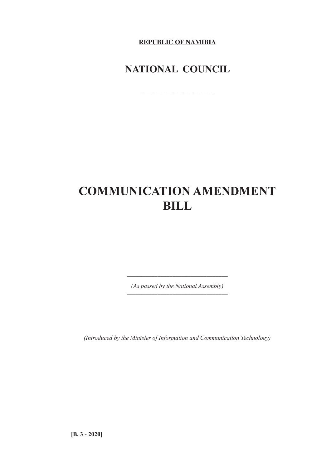**REPUBLIC OF NAMIBIA**

# **NATIONAL COUNCIL**

**\_\_\_\_\_\_\_\_\_\_\_\_\_\_\_\_\_\_\_\_\_\_**

# **COMMUNICATION AMENDMENT BILL**

*(As passed by the National Assembly) \_\_\_\_\_\_\_\_\_\_\_\_\_\_\_\_\_\_\_\_\_\_\_\_\_\_\_\_\_\_\_\_\_*

*\_\_\_\_\_\_\_\_\_\_\_\_\_\_\_\_\_\_\_\_\_\_\_\_\_\_\_\_\_\_\_\_\_*

*(Introduced by the Minister of Information and Communication Technology)*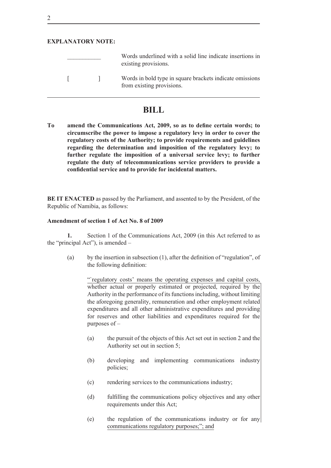# **EXPLANATORY NOTE:**

|  | Words underlined with a solid line indicate insertions in<br>existing provisions.     |
|--|---------------------------------------------------------------------------------------|
|  | Words in bold type in square brackets indicate omissions<br>from existing provisions. |

# **BILL**

**To amend the Communications Act, 2009, so as to define certain words; to circumscribe the power to impose a regulatory levy in order to cover the regulatory costs of the Authority; to provide requirements and guidelines regarding the determination and imposition of the regulatory levy; to further regulate the imposition of a universal service levy; to further regulate the duty of telecommunications service providers to provide a confidential service and to provide for incidental matters.**

**BE IT ENACTED** as passed by the Parliament, and assented to by the President, of the Republic of Namibia, as follows:

#### **Amendment of section 1 of Act No. 8 of 2009**

**1.** Section 1 of the Communications Act, 2009 (in this Act referred to as the "principal Act"), is amended –

(a) by the insertion in subsection (1), after the definition of "regulation", of the following definition:

> "regulatory costs' means the operating expenses and capital costs, whether actual or properly estimated or projected, required by the Authority in the performance of its functions including, without limiting the aforegoing generality, remuneration and other employment related expenditures and all other administrative expenditures and providing for reserves and other liabilities and expenditures required for the purposes of –

- (a) the pursuit of the objects of this Act set out in section 2 and the Authority set out in section 5;
- (b) developing and implementing communications industry policies;
- (c) rendering services to the communications industry;
- (d) fulfilling the communications policy objectives and any other requirements under this Act;
- (e) the regulation of the communications industry or for any communications regulatory purposes;"; and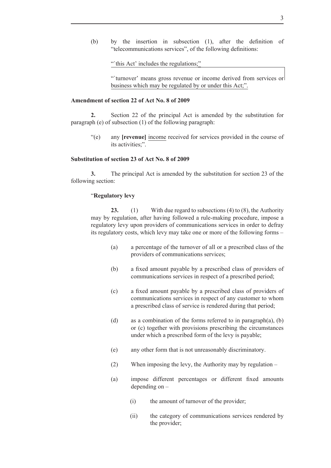(b) by the insertion in subsection (1), after the definition of "telecommunications services", of the following definitions:

"this Act' includes the regulations;"

"'turnover' means gross revenue or income derived from services or business which may be regulated by or under this Act;".

#### **Amendment of section 22 of Act No. 8 of 2009**

**2.** Section 22 of the principal Act is amended by the substitution for paragraph (e) of subsection (1) of the following paragraph:

"(e) any **[revenue]** income received for services provided in the course of its activities;".

#### **Substitution of section 23 of Act No. 8 of 2009**

**3.** The principal Act is amended by the substitution for section 23 of the following section:

## "**Regulatory levy**

**23.** (1) With due regard to subsections (4) to (8), the Authority may by regulation, after having followed a rule-making procedure, impose a regulatory levy upon providers of communications services in order to defray its regulatory costs, which levy may take one or more of the following forms –

- (a) a percentage of the turnover of all or a prescribed class of the providers of communications services;
- (b) a fixed amount payable by a prescribed class of providers of communications services in respect of a prescribed period;
- (c) a fixed amount payable by a prescribed class of providers of communications services in respect of any customer to whom a prescribed class of service is rendered during that period;
- (d) as a combination of the forms referred to in paragraph(a), (b) or (c) together with provisions prescribing the circumstances under which a prescribed form of the levy is payable;
- (e) any other form that is not unreasonably discriminatory.
- (2) When imposing the levy, the Authority may by regulation –
- (a) impose different percentages or different fixed amounts depending on –
	- (i) the amount of turnover of the provider;
	- (ii) the category of communications services rendered by the provider;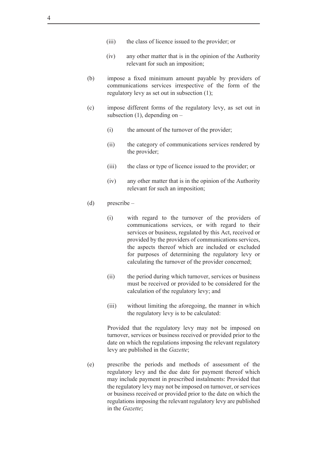- (iii) the class of licence issued to the provider; or
- (iv) any other matter that is in the opinion of the Authority relevant for such an imposition;
- (b) impose a fixed minimum amount payable by providers of communications services irrespective of the form of the regulatory levy as set out in subsection (1);
- (c) impose different forms of the regulatory levy, as set out in subsection  $(1)$ , depending on  $-$ 
	- (i) the amount of the turnover of the provider;
	- (ii) the category of communications services rendered by the provider;
	- (iii) the class or type of licence issued to the provider; or
	- (iv) any other matter that is in the opinion of the Authority relevant for such an imposition;
- (d) prescribe
	- (i) with regard to the turnover of the providers of communications services, or with regard to their services or business, regulated by this Act, received or provided by the providers of communications services, the aspects thereof which are included or excluded for purposes of determining the regulatory levy or calculating the turnover of the provider concerned;
	- (ii) the period during which turnover, services or business must be received or provided to be considered for the calculation of the regulatory levy; and
	- (iii) without limiting the aforegoing, the manner in which the regulatory levy is to be calculated:

Provided that the regulatory levy may not be imposed on turnover, services or business received or provided prior to the date on which the regulations imposing the relevant regulatory levy are published in the *Gazette*;

(e) prescribe the periods and methods of assessment of the regulatory levy and the due date for payment thereof which may include payment in prescribed instalments: Provided that the regulatory levy may not be imposed on turnover, or services or business received or provided prior to the date on which the regulations imposing the relevant regulatory levy are published in the *Gazette*;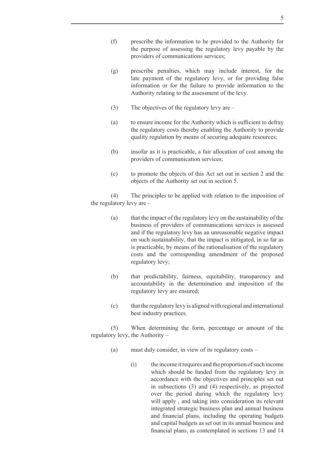- (f) prescribe the information to be provided to the Authority for the purpose of assessing the regulatory levy payable by the providers of communications services;
- (g) prescribe penalties, which may include interest, for the late payment of the regulatory levy, or for providing false information or for the failure to provide information to the Authority relating to the assessment of the levy.
- (3) The objectives of the regulatory levy are –
- (a) to ensure income for the Authority which is sufficient to defray the regulatory costs thereby enabling the Authority to provide quality regulation by means of securing adequate resources;
- (b) insofar as it is practicable, a fair allocation of cost among the providers of communication services;
- (c) to promote the objects of this Act set out in section 2 and the objects of the Authority set out in section 5.

(4) The principles to be applied with relation to the imposition of the regulatory levy are –

- (a) that the impact of the regulatory levy on the sustainability of the business of providers of communications services is assessed and if the regulatory levy has an unreasonable negative impact on such sustainability, that the impact is mitigated, in so far as is practicable, by means of the rationalisation of the regulatory costs and the corresponding amendment of the proposed regulatory levy;
- (b) that predictability, fairness, equitability, transparency and accountability in the determination and imposition of the regulatory levy are ensured;
- (c) that the regulatory levy is aligned with regional and international best industry practices.

(5) When determining the form, percentage or amount of the regulatory levy, the Authority –

- (a) must duly consider, in view of its regulatory costs
	- (i) the income it requires and the proportion of such income which should be funded from the regulatory levy in accordance with the objectives and principles set out in subsections (3) and (4) respectively, as projected over the period during which the regulatory levy will apply , and taking into consideration its relevant integrated strategic business plan and annual business and financial plans, including the operating budgets and capital budgets as set out in its annual business and financial plans, as contemplated in sections 13 and 14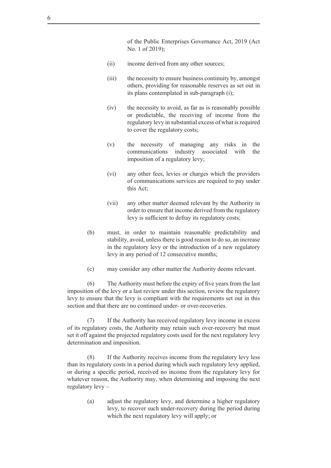of the Public Enterprises Governance Act, 2019 (Act No. 1 of 2019);

- (ii) income derived from any other sources;
- (iii) the necessity to ensure business continuity by, amongst others, providing for reasonable reserves as set out in its plans contemplated in sub-paragraph (i);
- (iv) the necessity to avoid, as far as is reasonably possible or predictable, the receiving of income from the regulatory levy in substantial excess of what is required to cover the regulatory costs;
- (v) the necessity of managing any risks in the communications industry associated with the imposition of a regulatory levy;
- (vi) any other fees, levies or charges which the providers of communications services are required to pay under this Act;
- (vii) any other matter deemed relevant by the Authority in order to ensure that income derived from the regulatory levy is sufficient to defray its regulatory costs;
- (b) must, in order to maintain reasonable predictability and stability, avoid, unless there is good reason to do so, an increase in the regulatory levy or the introduction of a new regulatory levy in any period of 12 consecutive months;
- (c) may consider any other matter the Authority deems relevant.

(6) The Authority must before the expiry of five years from the last imposition of the levy or a last review under this section, review the regulatory levy to ensure that the levy is compliant with the requirements set out in this section and that there are no continued under- or over-recoveries.

(7) If the Authority has received regulatory levy income in excess of its regulatory costs, the Authority may retain such over-recovery but must set it off against the projected regulatory costs used for the next regulatory levy determination and imposition.

(8) If the Authority receives income from the regulatory levy less than its regulatory costs in a period during which such regulatory levy applied, or during a specific period, received no income from the regulatory levy for whatever reason, the Authority may, when determining and imposing the next regulatory levy –

> (a) adjust the regulatory levy, and determine a higher regulatory levy, to recover such under-recovery during the period during which the next regulatory levy will apply; or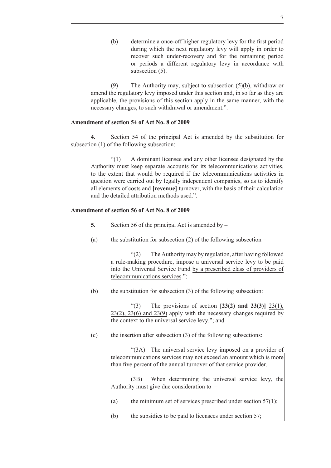(b) determine a once-off higher regulatory levy for the first period during which the next regulatory levy will apply in order to recover such under-recovery and for the remaining period or periods a different regulatory levy in accordance with subsection  $(5)$ .

(9) The Authority may, subject to subsection (5)(b), withdraw or amend the regulatory levy imposed under this section and, in so far as they are applicable, the provisions of this section apply in the same manner, with the necessary changes, to such withdrawal or amendment.".

## **Amendment of section 54 of Act No. 8 of 2009**

**4.** Section 54 of the principal Act is amended by the substitution for subsection (1) of the following subsection:

"(1) A dominant licensee and any other licensee designated by the Authority must keep separate accounts for its telecommunications activities, to the extent that would be required if the telecommunications activities in question were carried out by legally independent companies, so as to identify all elements of costs and **[revenue]** turnover, with the basis of their calculation and the detailed attribution methods used."

# **Amendment of section 56 of Act No. 8 of 2009**

- **5.** Section 56 of the principal Act is amended by –
- (a) the substitution for subsection (2) of the following subsection –

"(2) The Authority may by regulation, after having followed a rule-making procedure, impose a universal service levy to be paid into the Universal Service Fund by a prescribed class of providers of telecommunications services.";

(b) the substitution for subsection (3) of the following subsection:

"(3) The provisions of section **[23(2) and 23(3)]** 23(1), 23(2), 23(6) and 23(9) apply with the necessary changes required by the context to the universal service levy."; and

(c) the insertion after subsection (3) of the following subsections:

"(3A) The universal service levy imposed on a provider of telecommunications services may not exceed an amount which is more than five percent of the annual turnover of that service provider.

(3B) When determining the universal service levy, the Authority must give due consideration to –

- (a) the minimum set of services prescribed under section  $57(1)$ ;
- (b) the subsidies to be paid to licensees under section 57;